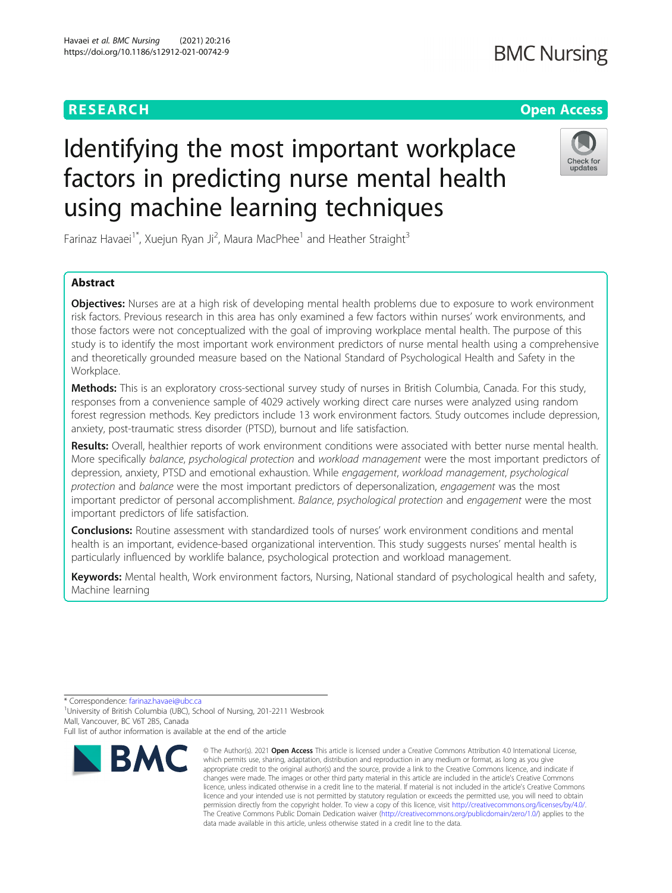# **RESEARCH CHEAR CHEAR CHEAR CHEAR CHEAR CHEAP CONTROL**

# Identifying the most important workplace factors in predicting nurse mental health using machine learning techniques



Farinaz Havaei<sup>1\*</sup>, Xuejun Ryan Ji<sup>2</sup>, Maura MacPhee<sup>1</sup> and Heather Straight<sup>3</sup>

# Abstract

**Objectives:** Nurses are at a high risk of developing mental health problems due to exposure to work environment risk factors. Previous research in this area has only examined a few factors within nurses' work environments, and those factors were not conceptualized with the goal of improving workplace mental health. The purpose of this study is to identify the most important work environment predictors of nurse mental health using a comprehensive and theoretically grounded measure based on the National Standard of Psychological Health and Safety in the Workplace.

Methods: This is an exploratory cross-sectional survey study of nurses in British Columbia, Canada. For this study, responses from a convenience sample of 4029 actively working direct care nurses were analyzed using random forest regression methods. Key predictors include 13 work environment factors. Study outcomes include depression, anxiety, post-traumatic stress disorder (PTSD), burnout and life satisfaction.

Results: Overall, healthier reports of work environment conditions were associated with better nurse mental health. More specifically balance, psychological protection and workload management were the most important predictors of depression, anxiety, PTSD and emotional exhaustion. While engagement, workload management, psychological protection and balance were the most important predictors of depersonalization, engagement was the most important predictor of personal accomplishment. Balance, psychological protection and engagement were the most important predictors of life satisfaction.

**Conclusions:** Routine assessment with standardized tools of nurses' work environment conditions and mental health is an important, evidence-based organizational intervention. This study suggests nurses' mental health is particularly influenced by worklife balance, psychological protection and workload management.

Keywords: Mental health, Work environment factors, Nursing, National standard of psychological health and safety, Machine learning

\* Correspondence: [farinaz.havaei@ubc.ca](mailto:farinaz.havaei@ubc.ca) <sup>1</sup>

<sup>1</sup> University of British Columbia (UBC), School of Nursing, 201-2211 Wesbrook Mall, Vancouver, BC V6T 2B5, Canada

Full list of author information is available at the end of the article



<sup>©</sup> The Author(s), 2021 **Open Access** This article is licensed under a Creative Commons Attribution 4.0 International License, which permits use, sharing, adaptation, distribution and reproduction in any medium or format, as long as you give appropriate credit to the original author(s) and the source, provide a link to the Creative Commons licence, and indicate if changes were made. The images or other third party material in this article are included in the article's Creative Commons licence, unless indicated otherwise in a credit line to the material. If material is not included in the article's Creative Commons licence and your intended use is not permitted by statutory regulation or exceeds the permitted use, you will need to obtain permission directly from the copyright holder. To view a copy of this licence, visit [http://creativecommons.org/licenses/by/4.0/.](http://creativecommons.org/licenses/by/4.0/) The Creative Commons Public Domain Dedication waiver [\(http://creativecommons.org/publicdomain/zero/1.0/](http://creativecommons.org/publicdomain/zero/1.0/)) applies to the data made available in this article, unless otherwise stated in a credit line to the data.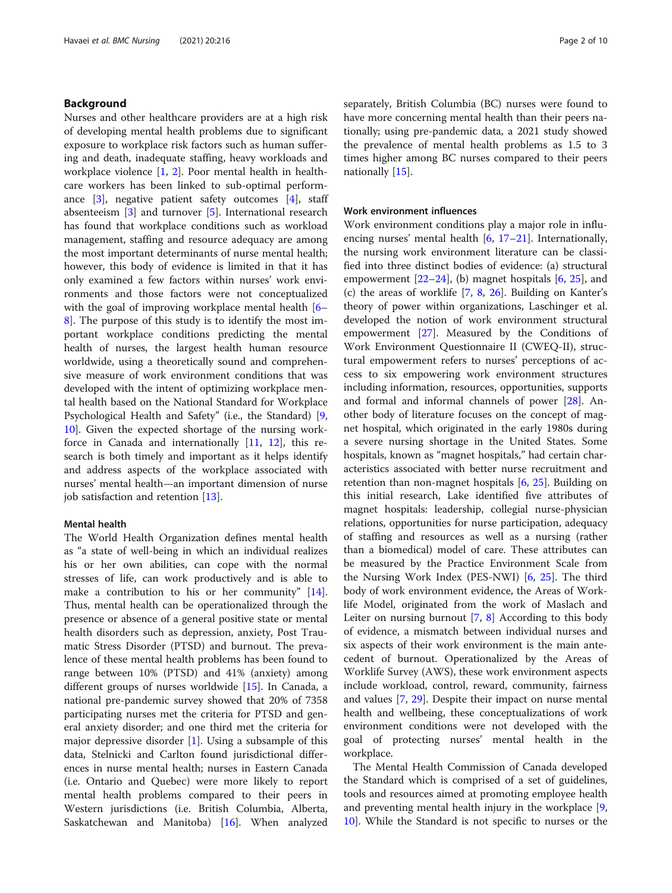# Background

Nurses and other healthcare providers are at a high risk of developing mental health problems due to significant exposure to workplace risk factors such as human suffering and death, inadequate staffing, heavy workloads and workplace violence  $[1, 2]$  $[1, 2]$  $[1, 2]$  $[1, 2]$ . Poor mental health in healthcare workers has been linked to sub-optimal performance [\[3](#page-8-0)], negative patient safety outcomes [[4](#page-8-0)], staff absenteeism [\[3](#page-8-0)] and turnover [[5\]](#page-8-0). International research has found that workplace conditions such as workload management, staffing and resource adequacy are among the most important determinants of nurse mental health; however, this body of evidence is limited in that it has only examined a few factors within nurses' work environments and those factors were not conceptualized with the goal of improving workplace mental health [[6](#page-8-0)– [8\]](#page-8-0). The purpose of this study is to identify the most important workplace conditions predicting the mental health of nurses, the largest health human resource worldwide, using a theoretically sound and comprehensive measure of work environment conditions that was developed with the intent of optimizing workplace mental health based on the National Standard for Workplace Psychological Health and Safety" (i.e., the Standard) [\[9](#page-8-0), [10\]](#page-8-0). Given the expected shortage of the nursing workforce in Canada and internationally  $[11, 12]$  $[11, 12]$  $[11, 12]$ , this research is both timely and important as it helps identify and address aspects of the workplace associated with nurses' mental health—an important dimension of nurse job satisfaction and retention [\[13](#page-8-0)].

# Mental health

The World Health Organization defines mental health as "a state of well-being in which an individual realizes his or her own abilities, can cope with the normal stresses of life, can work productively and is able to make a contribution to his or her community" [\[14](#page-8-0)]. Thus, mental health can be operationalized through the presence or absence of a general positive state or mental health disorders such as depression, anxiety, Post Traumatic Stress Disorder (PTSD) and burnout. The prevalence of these mental health problems has been found to range between 10% (PTSD) and 41% (anxiety) among different groups of nurses worldwide [\[15](#page-8-0)]. In Canada, a national pre-pandemic survey showed that 20% of 7358 participating nurses met the criteria for PTSD and general anxiety disorder; and one third met the criteria for major depressive disorder [[1\]](#page-8-0). Using a subsample of this data, Stelnicki and Carlton found jurisdictional differences in nurse mental health; nurses in Eastern Canada (i.e. Ontario and Quebec) were more likely to report mental health problems compared to their peers in Western jurisdictions (i.e. British Columbia, Alberta, Saskatchewan and Manitoba) [[16\]](#page-8-0). When analyzed separately, British Columbia (BC) nurses were found to have more concerning mental health than their peers nationally; using pre-pandemic data, a 2021 study showed the prevalence of mental health problems as 1.5 to 3 times higher among BC nurses compared to their peers nationally [[15\]](#page-8-0).

### Work environment influences

Work environment conditions play a major role in influencing nurses' mental health [\[6](#page-8-0), [17](#page-8-0)–[21](#page-8-0)]. Internationally, the nursing work environment literature can be classified into three distinct bodies of evidence: (a) structural empowerment  $[22-24]$  $[22-24]$  $[22-24]$ , (b) magnet hospitals  $[6, 25]$  $[6, 25]$  $[6, 25]$  $[6, 25]$ , and (c) the areas of worklife  $[7, 8, 26]$  $[7, 8, 26]$  $[7, 8, 26]$  $[7, 8, 26]$  $[7, 8, 26]$ . Building on Kanter's theory of power within organizations, Laschinger et al. developed the notion of work environment structural empowerment [[27\]](#page-8-0). Measured by the Conditions of Work Environment Questionnaire II (CWEQ-II), structural empowerment refers to nurses' perceptions of access to six empowering work environment structures including information, resources, opportunities, supports and formal and informal channels of power [[28](#page-8-0)]. Another body of literature focuses on the concept of magnet hospital, which originated in the early 1980s during a severe nursing shortage in the United States. Some hospitals, known as "magnet hospitals," had certain characteristics associated with better nurse recruitment and retention than non-magnet hospitals [\[6,](#page-8-0) [25](#page-8-0)]. Building on this initial research, Lake identified five attributes of magnet hospitals: leadership, collegial nurse-physician relations, opportunities for nurse participation, adequacy of staffing and resources as well as a nursing (rather than a biomedical) model of care. These attributes can be measured by the Practice Environment Scale from the Nursing Work Index (PES-NWI) [[6,](#page-8-0) [25\]](#page-8-0). The third body of work environment evidence, the Areas of Worklife Model, originated from the work of Maslach and Leiter on nursing burnout [\[7](#page-8-0), [8\]](#page-8-0) According to this body of evidence, a mismatch between individual nurses and six aspects of their work environment is the main antecedent of burnout. Operationalized by the Areas of Worklife Survey (AWS), these work environment aspects include workload, control, reward, community, fairness and values [\[7](#page-8-0), [29\]](#page-8-0). Despite their impact on nurse mental health and wellbeing, these conceptualizations of work environment conditions were not developed with the goal of protecting nurses' mental health in the workplace.

The Mental Health Commission of Canada developed the Standard which is comprised of a set of guidelines, tools and resources aimed at promoting employee health and preventing mental health injury in the workplace [\[9](#page-8-0), [10\]](#page-8-0). While the Standard is not specific to nurses or the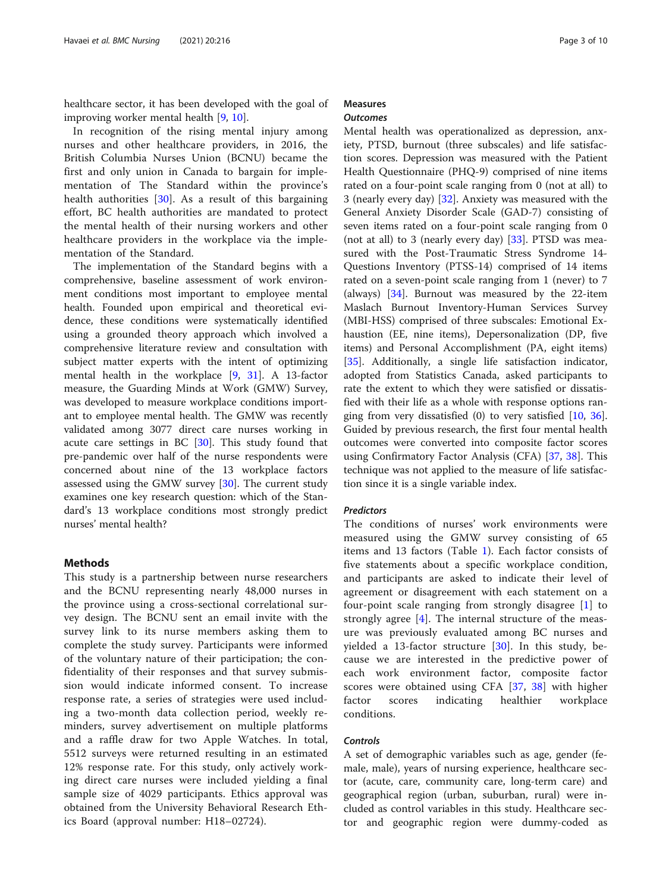healthcare sector, it has been developed with the goal of improving worker mental health [\[9](#page-8-0), [10](#page-8-0)].

In recognition of the rising mental injury among nurses and other healthcare providers, in 2016, the British Columbia Nurses Union (BCNU) became the first and only union in Canada to bargain for implementation of The Standard within the province's health authorities [[30\]](#page-8-0). As a result of this bargaining effort, BC health authorities are mandated to protect the mental health of their nursing workers and other healthcare providers in the workplace via the implementation of the Standard.

The implementation of the Standard begins with a comprehensive, baseline assessment of work environment conditions most important to employee mental health. Founded upon empirical and theoretical evidence, these conditions were systematically identified using a grounded theory approach which involved a comprehensive literature review and consultation with subject matter experts with the intent of optimizing mental health in the workplace [\[9,](#page-8-0) [31](#page-8-0)]. A 13-factor measure, the Guarding Minds at Work (GMW) Survey, was developed to measure workplace conditions important to employee mental health. The GMW was recently validated among 3077 direct care nurses working in acute care settings in BC [\[30\]](#page-8-0). This study found that pre-pandemic over half of the nurse respondents were concerned about nine of the 13 workplace factors assessed using the GMW survey [\[30\]](#page-8-0). The current study examines one key research question: which of the Standard's 13 workplace conditions most strongly predict nurses' mental health?

# **Methods**

This study is a partnership between nurse researchers and the BCNU representing nearly 48,000 nurses in the province using a cross-sectional correlational survey design. The BCNU sent an email invite with the survey link to its nurse members asking them to complete the study survey. Participants were informed of the voluntary nature of their participation; the confidentiality of their responses and that survey submission would indicate informed consent. To increase response rate, a series of strategies were used including a two-month data collection period, weekly reminders, survey advertisement on multiple platforms and a raffle draw for two Apple Watches. In total, 5512 surveys were returned resulting in an estimated 12% response rate. For this study, only actively working direct care nurses were included yielding a final sample size of 4029 participants. Ethics approval was obtained from the University Behavioral Research Ethics Board (approval number: H18–02724).

# Measures **Outcomes**

Mental health was operationalized as depression, anxiety, PTSD, burnout (three subscales) and life satisfaction scores. Depression was measured with the Patient Health Questionnaire (PHQ-9) comprised of nine items rated on a four-point scale ranging from 0 (not at all) to 3 (nearly every day) [\[32](#page-8-0)]. Anxiety was measured with the General Anxiety Disorder Scale (GAD-7) consisting of seven items rated on a four-point scale ranging from 0 (not at all) to 3 (nearly every day)  $[33]$ . PTSD was measured with the Post-Traumatic Stress Syndrome 14- Questions Inventory (PTSS-14) comprised of 14 items rated on a seven-point scale ranging from 1 (never) to 7 (always) [\[34](#page-8-0)]. Burnout was measured by the 22-item Maslach Burnout Inventory-Human Services Survey (MBI-HSS) comprised of three subscales: Emotional Exhaustion (EE, nine items), Depersonalization (DP, five items) and Personal Accomplishment (PA, eight items) [[35\]](#page-8-0). Additionally, a single life satisfaction indicator, adopted from Statistics Canada, asked participants to rate the extent to which they were satisfied or dissatisfied with their life as a whole with response options ranging from very dissatisfied  $(0)$  to very satisfied  $[10, 36]$  $[10, 36]$  $[10, 36]$  $[10, 36]$  $[10, 36]$ . Guided by previous research, the first four mental health outcomes were converted into composite factor scores using Confirmatory Factor Analysis (CFA) [[37](#page-8-0), [38\]](#page-8-0). This technique was not applied to the measure of life satisfaction since it is a single variable index.

# Predictors

The conditions of nurses' work environments were measured using the GMW survey consisting of 65 items and 13 factors (Table [1](#page-3-0)). Each factor consists of five statements about a specific workplace condition, and participants are asked to indicate their level of agreement or disagreement with each statement on a four-point scale ranging from strongly disagree [\[1](#page-8-0)] to strongly agree [[4\]](#page-8-0). The internal structure of the measure was previously evaluated among BC nurses and yielded a 13-factor structure [\[30](#page-8-0)]. In this study, because we are interested in the predictive power of each work environment factor, composite factor scores were obtained using CFA [\[37](#page-8-0), [38](#page-8-0)] with higher factor scores indicating healthier workplace conditions.

## Controls

A set of demographic variables such as age, gender (female, male), years of nursing experience, healthcare sector (acute, care, community care, long-term care) and geographical region (urban, suburban, rural) were included as control variables in this study. Healthcare sector and geographic region were dummy-coded as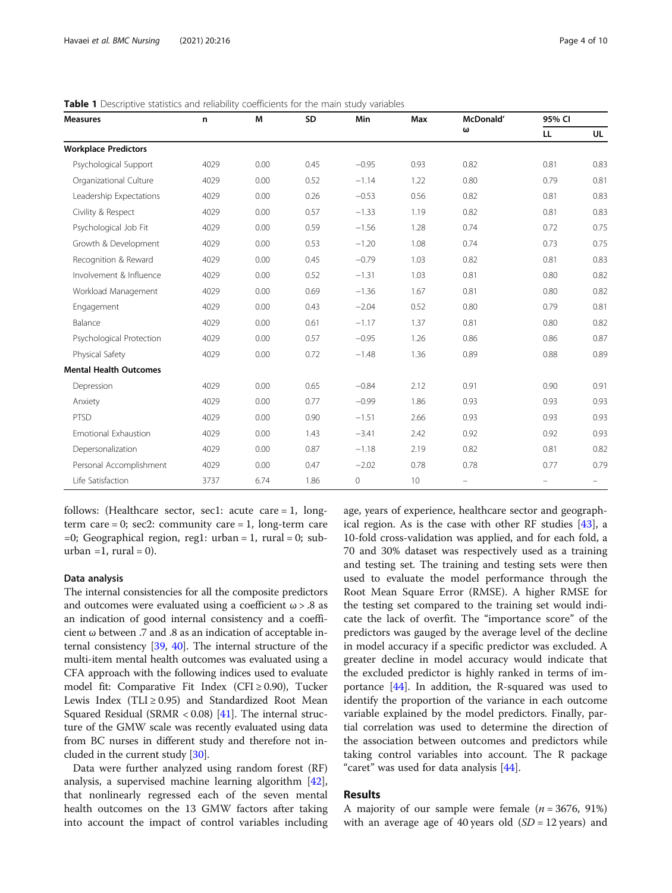| <b>Measures</b>               | n    | M    | SD   | Min     | Max  | McDonald'<br>ω | 95% CI |                          |
|-------------------------------|------|------|------|---------|------|----------------|--------|--------------------------|
|                               |      |      |      |         |      |                | LL     | UL                       |
| <b>Workplace Predictors</b>   |      |      |      |         |      |                |        |                          |
| Psychological Support         | 4029 | 0.00 | 0.45 | $-0.95$ | 0.93 | 0.82           | 0.81   | 0.83                     |
| Organizational Culture        | 4029 | 0.00 | 0.52 | $-1.14$ | 1.22 | 0.80           | 0.79   | 0.81                     |
| Leadership Expectations       | 4029 | 0.00 | 0.26 | $-0.53$ | 0.56 | 0.82           | 0.81   | 0.83                     |
| Civility & Respect            | 4029 | 0.00 | 0.57 | $-1.33$ | 1.19 | 0.82           | 0.81   | 0.83                     |
| Psychological Job Fit         | 4029 | 0.00 | 0.59 | $-1.56$ | 1.28 | 0.74           | 0.72   | 0.75                     |
| Growth & Development          | 4029 | 0.00 | 0.53 | $-1.20$ | 1.08 | 0.74           | 0.73   | 0.75                     |
| Recognition & Reward          | 4029 | 0.00 | 0.45 | $-0.79$ | 1.03 | 0.82           | 0.81   | 0.83                     |
| Involvement & Influence       | 4029 | 0.00 | 0.52 | $-1.31$ | 1.03 | 0.81           | 0.80   | 0.82                     |
| Workload Management           | 4029 | 0.00 | 0.69 | $-1.36$ | 1.67 | 0.81           | 0.80   | 0.82                     |
| Engagement                    | 4029 | 0.00 | 0.43 | $-2.04$ | 0.52 | 0.80           | 0.79   | 0.81                     |
| Balance                       | 4029 | 0.00 | 0.61 | $-1.17$ | 1.37 | 0.81           | 0.80   | 0.82                     |
| Psychological Protection      | 4029 | 0.00 | 0.57 | $-0.95$ | 1.26 | 0.86           | 0.86   | 0.87                     |
| Physical Safety               | 4029 | 0.00 | 0.72 | $-1.48$ | 1.36 | 0.89           | 0.88   | 0.89                     |
| <b>Mental Health Outcomes</b> |      |      |      |         |      |                |        |                          |
| Depression                    | 4029 | 0.00 | 0.65 | $-0.84$ | 2.12 | 0.91           | 0.90   | 0.91                     |
| Anxiety                       | 4029 | 0.00 | 0.77 | $-0.99$ | 1.86 | 0.93           | 0.93   | 0.93                     |
| <b>PTSD</b>                   | 4029 | 0.00 | 0.90 | $-1.51$ | 2.66 | 0.93           | 0.93   | 0.93                     |
| Emotional Exhaustion          | 4029 | 0.00 | 1.43 | $-3.41$ | 2.42 | 0.92           | 0.92   | 0.93                     |
| Depersonalization             | 4029 | 0.00 | 0.87 | $-1.18$ | 2.19 | 0.82           | 0.81   | 0.82                     |
| Personal Accomplishment       | 4029 | 0.00 | 0.47 | $-2.02$ | 0.78 | 0.78           | 0.77   | 0.79                     |
| Life Satisfaction             | 3737 | 6.74 | 1.86 | 0       | 10   | -              | -      | $\overline{\phantom{0}}$ |

<span id="page-3-0"></span>Table 1 Descriptive statistics and reliability coefficients for the main study variables

follows: (Healthcare sector, sec1: acute care = 1, longterm care = 0; sec2: community care = 1, long-term care  $=0$ ; Geographical region, reg1: urban  $= 1$ , rural  $= 0$ ; suburban =1, rural = 0).

# Data analysis

The internal consistencies for all the composite predictors and outcomes were evaluated using a coefficient  $\omega > .8$  as an indication of good internal consistency and a coefficient ω between .7 and .8 as an indication of acceptable internal consistency [[39](#page-8-0), [40\]](#page-9-0). The internal structure of the multi-item mental health outcomes was evaluated using a CFA approach with the following indices used to evaluate model fit: Comparative Fit Index (CFI  $\geq$  0.90), Tucker Lewis Index (TLI  $\geq$  0.95) and Standardized Root Mean Squared Residual (SRMR  $< 0.08$ ) [\[41\]](#page-9-0). The internal structure of the GMW scale was recently evaluated using data from BC nurses in different study and therefore not included in the current study [[30](#page-8-0)].

Data were further analyzed using random forest (RF) analysis, a supervised machine learning algorithm [\[42](#page-9-0)], that nonlinearly regressed each of the seven mental health outcomes on the 13 GMW factors after taking into account the impact of control variables including

age, years of experience, healthcare sector and geographical region. As is the case with other RF studies [\[43\]](#page-9-0), a 10-fold cross-validation was applied, and for each fold, a 70 and 30% dataset was respectively used as a training and testing set. The training and testing sets were then used to evaluate the model performance through the Root Mean Square Error (RMSE). A higher RMSE for the testing set compared to the training set would indicate the lack of overfit. The "importance score" of the predictors was gauged by the average level of the decline in model accuracy if a specific predictor was excluded. A greater decline in model accuracy would indicate that the excluded predictor is highly ranked in terms of importance [[44](#page-9-0)]. In addition, the R-squared was used to identify the proportion of the variance in each outcome variable explained by the model predictors. Finally, partial correlation was used to determine the direction of the association between outcomes and predictors while taking control variables into account. The R package "caret" was used for data analysis [[44](#page-9-0)].

# Results

A majority of our sample were female  $(n = 3676, 91\%)$ with an average age of 40 years old  $(SD = 12 \text{ years})$  and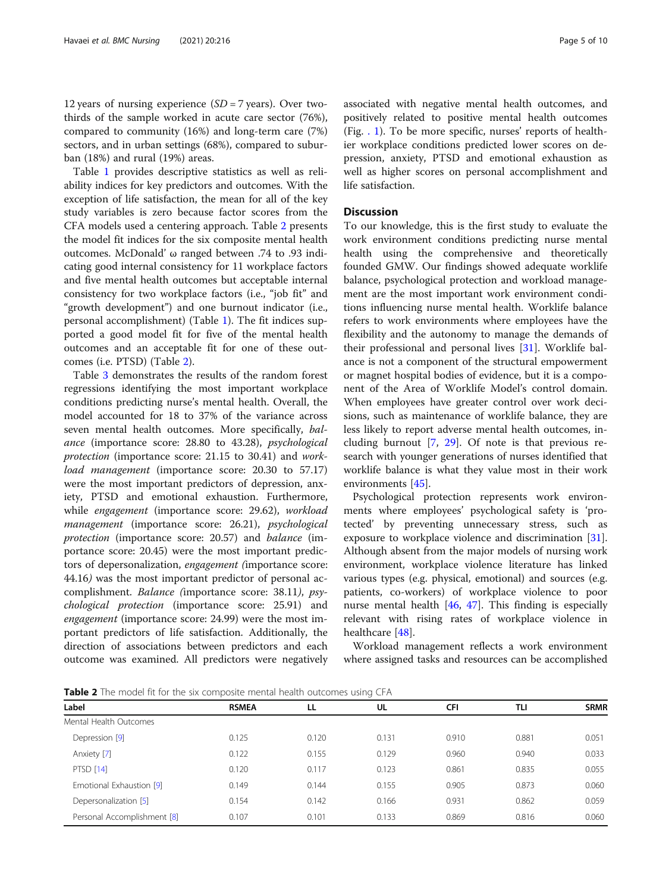12 years of nursing experience  $(SD = 7$  years). Over twothirds of the sample worked in acute care sector (76%), compared to community (16%) and long-term care (7%) sectors, and in urban settings (68%), compared to suburban (18%) and rural (19%) areas.

Table [1](#page-3-0) provides descriptive statistics as well as reliability indices for key predictors and outcomes. With the exception of life satisfaction, the mean for all of the key study variables is zero because factor scores from the CFA models used a centering approach. Table 2 presents the model fit indices for the six composite mental health outcomes. McDonald' ω ranged between .74 to .93 indicating good internal consistency for 11 workplace factors and five mental health outcomes but acceptable internal consistency for two workplace factors (i.e., "job fit" and "growth development") and one burnout indicator (i.e., personal accomplishment) (Table [1\)](#page-3-0). The fit indices supported a good model fit for five of the mental health outcomes and an acceptable fit for one of these outcomes (i.e. PTSD) (Table 2).

Table [3](#page-5-0) demonstrates the results of the random forest regressions identifying the most important workplace conditions predicting nurse's mental health. Overall, the model accounted for 18 to 37% of the variance across seven mental health outcomes. More specifically, balance (importance score: 28.80 to 43.28), psychological protection (importance score: 21.15 to 30.41) and workload management (importance score: 20.30 to 57.17) were the most important predictors of depression, anxiety, PTSD and emotional exhaustion. Furthermore, while engagement (importance score: 29.62), workload management (importance score: 26.21), psychological protection (importance score: 20.57) and balance (importance score: 20.45) were the most important predictors of depersonalization, engagement (importance score: 44.16) was the most important predictor of personal accomplishment. Balance (importance score: 38.11), psychological protection (importance score: 25.91) and engagement (importance score: 24.99) were the most important predictors of life satisfaction. Additionally, the direction of associations between predictors and each outcome was examined. All predictors were negatively associated with negative mental health outcomes, and positively related to positive mental health outcomes (Fig. [. 1](#page-6-0)). To be more specific, nurses' reports of healthier workplace conditions predicted lower scores on depression, anxiety, PTSD and emotional exhaustion as well as higher scores on personal accomplishment and life satisfaction.

# Discussion

To our knowledge, this is the first study to evaluate the work environment conditions predicting nurse mental health using the comprehensive and theoretically founded GMW. Our findings showed adequate worklife balance, psychological protection and workload management are the most important work environment conditions influencing nurse mental health. Worklife balance refers to work environments where employees have the flexibility and the autonomy to manage the demands of their professional and personal lives [[31](#page-8-0)]. Worklife balance is not a component of the structural empowerment or magnet hospital bodies of evidence, but it is a component of the Area of Worklife Model's control domain. When employees have greater control over work decisions, such as maintenance of worklife balance, they are less likely to report adverse mental health outcomes, including burnout [[7,](#page-8-0) [29](#page-8-0)]. Of note is that previous research with younger generations of nurses identified that worklife balance is what they value most in their work environments [[45\]](#page-9-0).

Psychological protection represents work environments where employees' psychological safety is 'protected' by preventing unnecessary stress, such as exposure to workplace violence and discrimination [\[31](#page-8-0)]. Although absent from the major models of nursing work environment, workplace violence literature has linked various types (e.g. physical, emotional) and sources (e.g. patients, co-workers) of workplace violence to poor nurse mental health [\[46,](#page-9-0) [47](#page-9-0)]. This finding is especially relevant with rising rates of workplace violence in healthcare [[48\]](#page-9-0).

Workload management reflects a work environment where assigned tasks and resources can be accomplished

**Table 2** The model fit for the six composite mental health outcomes using CFA

| Label                       | <b>RSMEA</b> | LL    | UL    | <b>CFI</b> | TLI   | <b>SRMR</b> |
|-----------------------------|--------------|-------|-------|------------|-------|-------------|
| Mental Health Outcomes      |              |       |       |            |       |             |
| Depression [9]              | 0.125        | 0.120 | 0.131 | 0.910      | 0.881 | 0.051       |
| Anxiety [7]                 | 0.122        | 0.155 | 0.129 | 0.960      | 0.940 | 0.033       |
| <b>PTSD [14]</b>            | 0.120        | 0.117 | 0.123 | 0.861      | 0.835 | 0.055       |
| Emotional Exhaustion [9]    | 0.149        | 0.144 | 0.155 | 0.905      | 0.873 | 0.060       |
| Depersonalization [5]       | 0.154        | 0.142 | 0.166 | 0.931      | 0.862 | 0.059       |
| Personal Accomplishment [8] | 0.107        | 0.101 | 0.133 | 0.869      | 0.816 | 0.060       |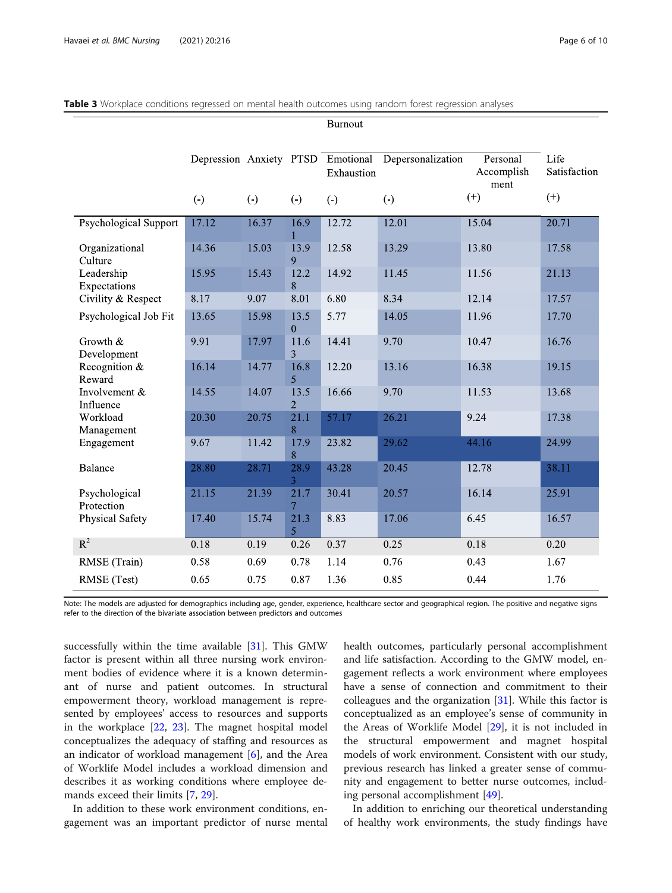|                             |                      |                      |                        | <b>Burnout</b>                                  |                      |                                |                      |
|-----------------------------|----------------------|----------------------|------------------------|-------------------------------------------------|----------------------|--------------------------------|----------------------|
|                             |                      |                      |                        | Depression Anxiety PTSD Emotional<br>Exhaustion | Depersonalization    | Personal<br>Accomplish<br>ment | Life<br>Satisfaction |
|                             | $\left(\cdot\right)$ | $\left(\cdot\right)$ | $\left(\cdot\right)$   | $\left(\cdot\right)$                            | $\left(\cdot\right)$ | $(+)$                          | $(+)$                |
| Psychological Support       | 17.12                | 16.37                | 16.9                   | 12.72                                           | 12.01                | 15.04                          | 20.71                |
| Organizational<br>Culture   | 14.36                | 15.03                | 13.9<br>9              | 12.58                                           | 13.29                | 13.80                          | 17.58                |
| Leadership<br>Expectations  | 15.95                | 15.43                | 12.2<br>8              | 14.92                                           | 11.45                | 11.56                          | 21.13                |
| Civility & Respect          | 8.17                 | 9.07                 | 8.01                   | 6.80                                            | 8.34                 | 12.14                          | 17.57                |
| Psychological Job Fit       | 13.65                | 15.98                | 13.5<br>$\overline{0}$ | 5.77                                            | 14.05                | 11.96                          | 17.70                |
| Growth &<br>Development     | 9.91                 | 17.97                | 11.6<br>3              | 14.41                                           | 9.70                 | 10.47                          | 16.76                |
| Recognition $&$<br>Reward   | 16.14                | 14.77                | 16.8<br>5              | 12.20                                           | 13.16                | 16.38                          | 19.15                |
| Involvement &<br>Influence  | 14.55                | 14.07                | 13.5<br>$\overline{2}$ | 16.66                                           | 9.70                 | 11.53                          | 13.68                |
| Workload<br>Management      | 20.30                | 20.75                | 21.1<br>8              | 57.17                                           | 26.21                | 9.24                           | 17.38                |
| Engagement                  | 9.67                 | 11.42                | 17.9<br>8              | 23.82                                           | 29.62                | 44.16                          | 24.99                |
| <b>Balance</b>              | 28.80                | 28.71                | 28.9<br>3              | 43.28                                           | 20.45                | 12.78                          | 38.11                |
| Psychological<br>Protection | 21.15                | 21.39                | 21.7<br>$\overline{7}$ | 30.41                                           | 20.57                | 16.14                          | 25.91                |
| Physical Safety             | 17.40                | 15.74                | 21.3<br>5              | 8.83                                            | 17.06                | 6.45                           | 16.57                |
| $R^2$                       | 0.18                 | 0.19                 | 0.26                   | 0.37                                            | 0.25                 | 0.18                           | 0.20                 |
| RMSE (Train)                | 0.58                 | 0.69                 | 0.78                   | 1.14                                            | 0.76                 | 0.43                           | 1.67                 |
| RMSE (Test)                 | 0.65                 | 0.75                 | 0.87                   | 1.36                                            | 0.85                 | 0.44                           | 1.76                 |

### <span id="page-5-0"></span>Table 3 Workplace conditions regressed on mental health outcomes using random forest regression analyses

Note: The models are adjusted for demographics including age, gender, experience, healthcare sector and geographical region. The positive and negative signs refer to the direction of the bivariate association between predictors and outcomes

successfully within the time available [[31\]](#page-8-0). This GMW factor is present within all three nursing work environment bodies of evidence where it is a known determinant of nurse and patient outcomes. In structural empowerment theory, workload management is represented by employees' access to resources and supports in the workplace [\[22,](#page-8-0) [23\]](#page-8-0). The magnet hospital model conceptualizes the adequacy of staffing and resources as an indicator of workload management [\[6](#page-8-0)], and the Area of Worklife Model includes a workload dimension and describes it as working conditions where employee demands exceed their limits [\[7](#page-8-0), [29\]](#page-8-0).

In addition to these work environment conditions, engagement was an important predictor of nurse mental health outcomes, particularly personal accomplishment and life satisfaction. According to the GMW model, engagement reflects a work environment where employees have a sense of connection and commitment to their colleagues and the organization [\[31\]](#page-8-0). While this factor is conceptualized as an employee's sense of community in the Areas of Worklife Model [\[29](#page-8-0)], it is not included in the structural empowerment and magnet hospital models of work environment. Consistent with our study, previous research has linked a greater sense of community and engagement to better nurse outcomes, including personal accomplishment [\[49\]](#page-9-0).

In addition to enriching our theoretical understanding of healthy work environments, the study findings have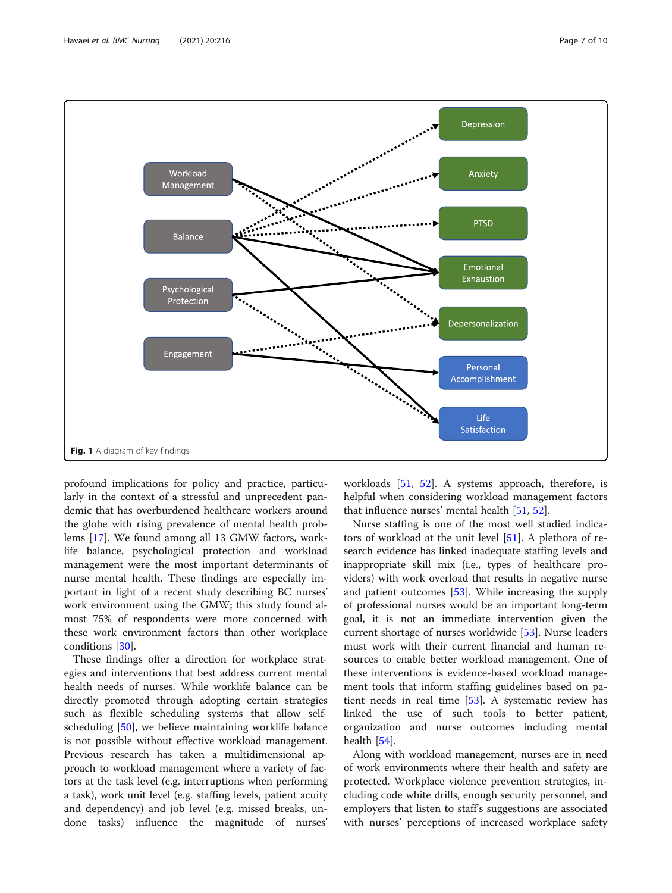<span id="page-6-0"></span>

profound implications for policy and practice, particularly in the context of a stressful and unprecedent pandemic that has overburdened healthcare workers around the globe with rising prevalence of mental health problems [\[17](#page-8-0)]. We found among all 13 GMW factors, worklife balance, psychological protection and workload management were the most important determinants of nurse mental health. These findings are especially important in light of a recent study describing BC nurses' work environment using the GMW; this study found almost 75% of respondents were more concerned with these work environment factors than other workplace conditions [[30](#page-8-0)].

These findings offer a direction for workplace strategies and interventions that best address current mental health needs of nurses. While worklife balance can be directly promoted through adopting certain strategies such as flexible scheduling systems that allow selfscheduling [[50\]](#page-9-0), we believe maintaining worklife balance is not possible without effective workload management. Previous research has taken a multidimensional approach to workload management where a variety of factors at the task level (e.g. interruptions when performing a task), work unit level (e.g. staffing levels, patient acuity and dependency) and job level (e.g. missed breaks, undone tasks) influence the magnitude of nurses' workloads [[51,](#page-9-0) [52](#page-9-0)]. A systems approach, therefore, is helpful when considering workload management factors that influence nurses' mental health [[51](#page-9-0), [52](#page-9-0)].

Nurse staffing is one of the most well studied indicators of workload at the unit level [\[51\]](#page-9-0). A plethora of research evidence has linked inadequate staffing levels and inappropriate skill mix (i.e., types of healthcare providers) with work overload that results in negative nurse and patient outcomes [\[53](#page-9-0)]. While increasing the supply of professional nurses would be an important long-term goal, it is not an immediate intervention given the current shortage of nurses worldwide [\[53](#page-9-0)]. Nurse leaders must work with their current financial and human resources to enable better workload management. One of these interventions is evidence-based workload management tools that inform staffing guidelines based on patient needs in real time [\[53\]](#page-9-0). A systematic review has linked the use of such tools to better patient, organization and nurse outcomes including mental health [[54\]](#page-9-0).

Along with workload management, nurses are in need of work environments where their health and safety are protected. Workplace violence prevention strategies, including code white drills, enough security personnel, and employers that listen to staff's suggestions are associated with nurses' perceptions of increased workplace safety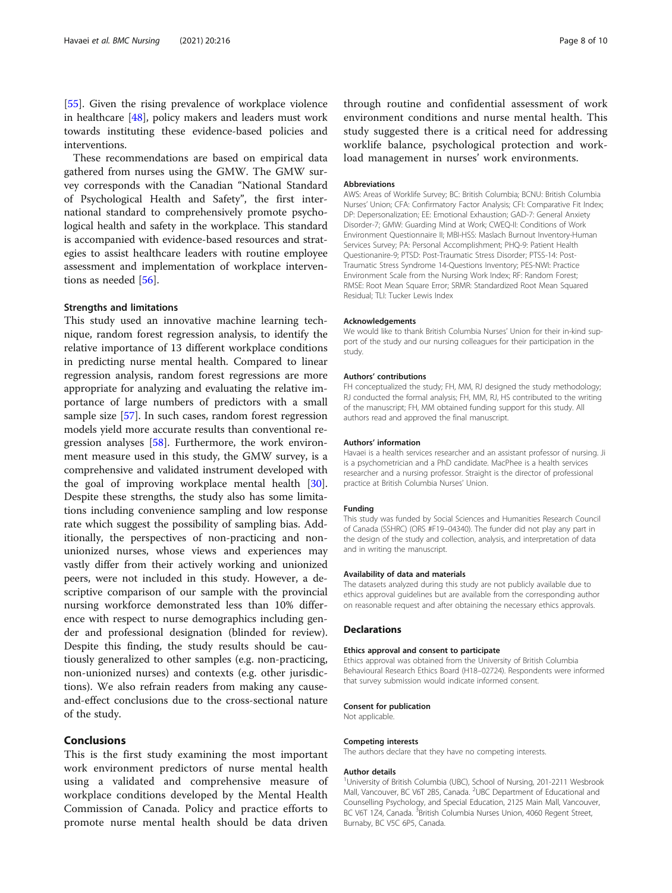[[55\]](#page-9-0). Given the rising prevalence of workplace violence in healthcare [[48\]](#page-9-0), policy makers and leaders must work towards instituting these evidence-based policies and interventions.

These recommendations are based on empirical data gathered from nurses using the GMW. The GMW survey corresponds with the Canadian "National Standard of Psychological Health and Safety", the first international standard to comprehensively promote psychological health and safety in the workplace. This standard is accompanied with evidence-based resources and strategies to assist healthcare leaders with routine employee assessment and implementation of workplace interventions as needed [[56\]](#page-9-0).

# Strengths and limitations

This study used an innovative machine learning technique, random forest regression analysis, to identify the relative importance of 13 different workplace conditions in predicting nurse mental health. Compared to linear regression analysis, random forest regressions are more appropriate for analyzing and evaluating the relative importance of large numbers of predictors with a small sample size [[57\]](#page-9-0). In such cases, random forest regression models yield more accurate results than conventional regression analyses [\[58](#page-9-0)]. Furthermore, the work environment measure used in this study, the GMW survey, is a comprehensive and validated instrument developed with the goal of improving workplace mental health [\[30](#page-8-0)]. Despite these strengths, the study also has some limitations including convenience sampling and low response rate which suggest the possibility of sampling bias. Additionally, the perspectives of non-practicing and nonunionized nurses, whose views and experiences may vastly differ from their actively working and unionized peers, were not included in this study. However, a descriptive comparison of our sample with the provincial nursing workforce demonstrated less than 10% difference with respect to nurse demographics including gender and professional designation (blinded for review). Despite this finding, the study results should be cautiously generalized to other samples (e.g. non-practicing, non-unionized nurses) and contexts (e.g. other jurisdictions). We also refrain readers from making any causeand-effect conclusions due to the cross-sectional nature of the study.

# Conclusions

This is the first study examining the most important work environment predictors of nurse mental health using a validated and comprehensive measure of workplace conditions developed by the Mental Health Commission of Canada. Policy and practice efforts to promote nurse mental health should be data driven

through routine and confidential assessment of work environment conditions and nurse mental health. This study suggested there is a critical need for addressing worklife balance, psychological protection and workload management in nurses' work environments.

#### Abbreviations

AWS: Areas of Worklife Survey; BC: British Columbia; BCNU: British Columbia Nurses' Union; CFA: Confirmatory Factor Analysis; CFI: Comparative Fit Index; DP: Depersonalization; EE: Emotional Exhaustion; GAD-7: General Anxiety Disorder-7; GMW: Guarding Mind at Work; CWEQ-II: Conditions of Work Environment Questionnaire II; MBI-HSS: Maslach Burnout Inventory-Human Services Survey; PA: Personal Accomplishment; PHQ-9: Patient Health Questionanire-9; PTSD: Post-Traumatic Stress Disorder; PTSS-14: Post-Traumatic Stress Syndrome 14-Questions Inventory; PES-NWI: Practice Environment Scale from the Nursing Work Index; RF: Random Forest; RMSE: Root Mean Square Error; SRMR: Standardized Root Mean Squared Residual; TLI: Tucker Lewis Index

#### Acknowledgements

We would like to thank British Columbia Nurses' Union for their in-kind support of the study and our nursing colleagues for their participation in the study.

#### Authors' contributions

FH conceptualized the study; FH, MM, RJ designed the study methodology; RJ conducted the formal analysis; FH, MM, RJ, HS contributed to the writing of the manuscript; FH, MM obtained funding support for this study. All authors read and approved the final manuscript.

#### Authors' information

Havaei is a health services researcher and an assistant professor of nursing. Ji is a psychometrician and a PhD candidate. MacPhee is a health services researcher and a nursing professor. Straight is the director of professional practice at British Columbia Nurses' Union.

#### Funding

This study was funded by Social Sciences and Humanities Research Council of Canada (SSHRC) (ORS #F19–04340). The funder did not play any part in the design of the study and collection, analysis, and interpretation of data and in writing the manuscript.

#### Availability of data and materials

The datasets analyzed during this study are not publicly available due to ethics approval guidelines but are available from the corresponding author on reasonable request and after obtaining the necessary ethics approvals.

#### Declarations

#### Ethics approval and consent to participate

Ethics approval was obtained from the University of British Columbia Behavioural Research Ethics Board (H18–02724). Respondents were informed that survey submission would indicate informed consent.

#### Consent for publication

Not applicable.

#### Competing interests

The authors declare that they have no competing interests.

#### Author details

<sup>1</sup>University of British Columbia (UBC), School of Nursing, 201-2211 Wesbrook Mall, Vancouver, BC V6T 2B5, Canada. <sup>2</sup>UBC Department of Educational and Counselling Psychology, and Special Education, 2125 Main Mall, Vancouver, BC V6T 1Z4, Canada. <sup>3</sup>British Columbia Nurses Union, 4060 Regent Street, Burnaby, BC V5C 6P5, Canada.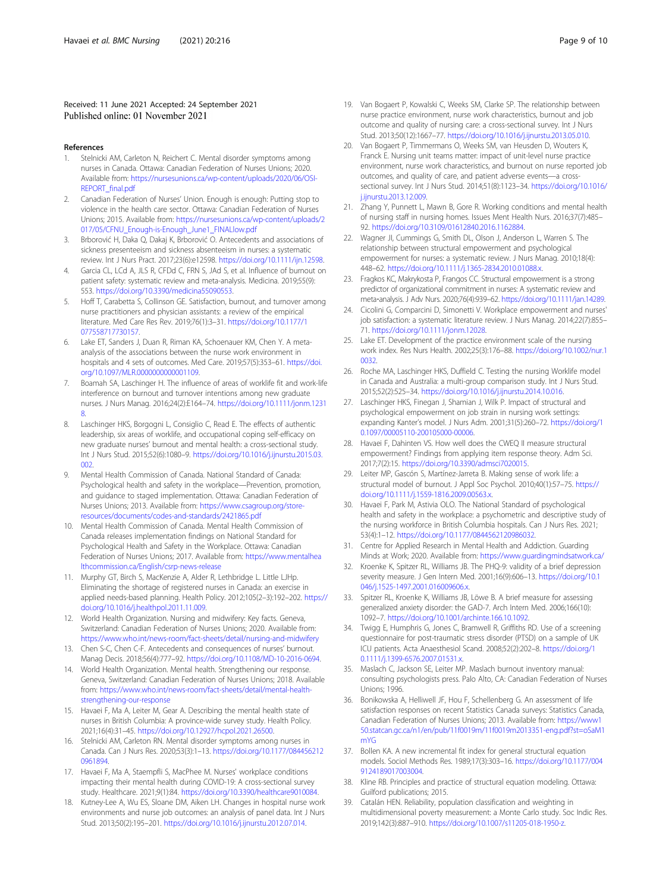<span id="page-8-0"></span>Received: 11 June 2021 Accepted: 24 September 2021 Published online: 01 November 2021

#### References

- 1. Stelnicki AM, Carleton N, Reichert C. Mental disorder symptoms among nurses in Canada. Ottawa: Canadian Federation of Nurses Unions; 2020. Available from: [https://nursesunions.ca/wp-content/uploads/2020/06/OSI-](https://nursesunions.ca/wp-content/uploads/2020/06/OSI-REPORT_final.pdf)[REPORT\\_final.pdf](https://nursesunions.ca/wp-content/uploads/2020/06/OSI-REPORT_final.pdf)
- 2. Canadian Federation of Nurses' Union. Enough is enough: Putting stop to violence in the health care sector. Ottawa: Canadian Federation of Nurses Unions; 2015. Available from: [https://nursesunions.ca/wp-content/uploads/2](https://nursesunions.ca/wp-content/uploads/2017/05/CFNU_Enough-is-Enough_June1_FINALlow.pdf) [017/05/CFNU\\_Enough-is-Enough\\_June1\\_FINALlow.pdf](https://nursesunions.ca/wp-content/uploads/2017/05/CFNU_Enough-is-Enough_June1_FINALlow.pdf)
- 3. Brborović H, Daka Q, Dakaj K, Brborović O. Antecedents and associations of sickness presenteeism and sickness absenteeism in nurses: a systematic review. Int J Nurs Pract. 2017;23(6):e12598. <https://doi.org/10.1111/ijn.12598>.
- Garcia CL, LCd A, JLS R, CFDd C, FRN S, JAd S, et al. Influence of burnout on patient safety: systematic review and meta-analysis. Medicina. 2019;55(9): 553. [https://doi.org/10.3390/medicina55090553.](https://doi.org/10.3390/medicina55090553)
- 5. Hoff T, Carabetta S, Collinson GE. Satisfaction, burnout, and turnover among nurse practitioners and physician assistants: a review of the empirical literature. Med Care Res Rev. 2019;76(1):3–31. [https://doi.org/10.1177/1](https://doi.org/10.1177/1077558717730157) [077558717730157.](https://doi.org/10.1177/1077558717730157)
- Lake ET, Sanders J, Duan R, Riman KA, Schoenauer KM, Chen Y. A metaanalysis of the associations between the nurse work environment in hospitals and 4 sets of outcomes. Med Care. 2019;57(5):353–61. [https://doi.](https://doi.org/10.1097/MLR.0000000000001109) [org/10.1097/MLR.0000000000001109.](https://doi.org/10.1097/MLR.0000000000001109)
- 7. Boamah SA, Laschinger H. The influence of areas of worklife fit and work-life interference on burnout and turnover intentions among new graduate nurses. J Nurs Manag. 2016;24(2):E164–74. [https://doi.org/10.1111/jonm.1231](https://doi.org/10.1111/jonm.12318) [8](https://doi.org/10.1111/jonm.12318).
- 8. Laschinger HKS, Borgogni L, Consiglio C, Read E. The effects of authentic leadership, six areas of worklife, and occupational coping self-efficacy on new graduate nurses' burnout and mental health: a cross-sectional study. Int J Nurs Stud. 2015;52(6):1080–9. [https://doi.org/10.1016/j.ijnurstu.2015.03.](https://doi.org/10.1016/j.ijnurstu.2015.03.002) [002.](https://doi.org/10.1016/j.ijnurstu.2015.03.002)
- 9. Mental Health Commission of Canada. National Standard of Canada: Psychological health and safety in the workplace—Prevention, promotion, and guidance to staged implementation. Ottawa: Canadian Federation of Nurses Unions; 2013. Available from: [https://www.csagroup.org/store](https://www.csagroup.org/store-resources/documents/codes-and-standards/2421865.pdf)[resources/documents/codes-and-standards/2421865.pdf](https://www.csagroup.org/store-resources/documents/codes-and-standards/2421865.pdf)
- 10. Mental Health Commission of Canada. Mental Health Commission of Canada releases implementation findings on National Standard for Psychological Health and Safety in the Workplace. Ottawa: Canadian Federation of Nurses Unions; 2017. Available from: [https://www.mentalhea](https://www.mentalhealthcommission.ca/English/csrp-news-release) [lthcommission.ca/English/csrp-news-release](https://www.mentalhealthcommission.ca/English/csrp-news-release)
- 11. Murphy GT, Birch S, MacKenzie A, Alder R, Lethbridge L. Little LJHp. Eliminating the shortage of registered nurses in Canada: an exercise in applied needs-based planning. Health Policy. 2012;105(2–3):192–202. [https://](https://doi.org/10.1016/j.healthpol.2011.11.009) [doi.org/10.1016/j.healthpol.2011.11.009](https://doi.org/10.1016/j.healthpol.2011.11.009).
- 12. World Health Organization. Nursing and midwifery: Key facts. Geneva, Switzerland: Canadian Federation of Nurses Unions; 2020. Available from: <https://www.who.int/news-room/fact-sheets/detail/nursing-and-midwifery>
- Chen S-C, Chen C-F. Antecedents and consequences of nurses' burnout. Manag Decis. 2018;56(4):777–92. <https://doi.org/10.1108/MD-10-2016-0694>.
- 14. World Health Organization. Mental health. Strengthening our response. Geneva, Switzerland: Canadian Federation of Nurses Unions; 2018. Available from: [https://www.who.int/news-room/fact-sheets/detail/mental-health](https://www.who.int/news-room/fact-sheets/detail/mental-health-strengthening-our-response)[strengthening-our-response](https://www.who.int/news-room/fact-sheets/detail/mental-health-strengthening-our-response)
- 15. Havaei F, Ma A, Leiter M, Gear A. Describing the mental health state of nurses in British Columbia: A province-wide survey study. Health Policy. 2021;16(4):31–45. [https://doi.org/10.12927/hcpol.2021.26500.](https://doi.org/10.12927/hcpol.2021.26500)
- 16. Stelnicki AM, Carleton RN. Mental disorder symptoms among nurses in Canada. Can J Nurs Res. 2020;53(3):1–13. [https://doi.org/10.1177/084456212](https://doi.org/10.1177/0844562120961894) [0961894.](https://doi.org/10.1177/0844562120961894)
- 17. Havaei F, Ma A, Staempfli S, MacPhee M. Nurses' workplace conditions impacting their mental health during COVID-19: A cross-sectional survey study. Healthcare. 2021;9(1):84. <https://doi.org/10.3390/healthcare9010084>.
- 18. Kutney-Lee A, Wu ES, Sloane DM, Aiken LH. Changes in hospital nurse work environments and nurse job outcomes: an analysis of panel data. Int J Nurs Stud. 2013;50(2):195–201. <https://doi.org/10.1016/j.ijnurstu.2012.07.014>.
- 19. Van Bogaert P, Kowalski C, Weeks SM, Clarke SP. The relationship between nurse practice environment, nurse work characteristics, burnout and job
- outcome and quality of nursing care: a cross-sectional survey. Int J Nurs Stud. 2013;50(12):1667–77. [https://doi.org/10.1016/j.ijnurstu.2013.05.010.](https://doi.org/10.1016/j.ijnurstu.2013.05.010) 20. Van Bogaert P, Timmermans O, Weeks SM, van Heusden D, Wouters K,
- Franck E. Nursing unit teams matter: impact of unit-level nurse practice environment, nurse work characteristics, and burnout on nurse reported job outcomes, and quality of care, and patient adverse events—a crosssectional survey. Int J Nurs Stud. 2014;51(8):1123–34. [https://doi.org/10.1016/](https://doi.org/10.1016/j.ijnurstu.2013.12.009) i.iinurstu.2013.12.009.
- 21. Zhang Y, Punnett L, Mawn B, Gore R. Working conditions and mental health of nursing staff in nursing homes. Issues Ment Health Nurs. 2016;37(7):485– 92. <https://doi.org/10.3109/01612840.2016.1162884>.
- 22. Wagner JI, Cummings G, Smith DL, Olson J, Anderson L, Warren S. The relationship between structural empowerment and psychological empowerment for nurses: a systematic review. J Nurs Manag. 2010;18(4): 448–62. <https://doi.org/10.1111/j.1365-2834.2010.01088.x>.
- 23. Fragkos KC, Makrykosta P, Frangos CC. Structural empowerment is a strong predictor of organizational commitment in nurses: A systematic review and meta‐analysis. J Adv Nurs. 2020;76(4):939–62. [https://doi.org/10.1111/jan.14289.](https://doi.org/10.1111/jan.14289)
- 24. Cicolini G, Comparcini D, Simonetti V. Workplace empowerment and nurses' job satisfaction: a systematic literature review. J Nurs Manag. 2014;22(7):855– 71. <https://doi.org/10.1111/jonm.12028>.
- 25. Lake ET. Development of the practice environment scale of the nursing work index. Res Nurs Health. 2002;25(3):176–88. [https://doi.org/10.1002/nur.1](https://doi.org/10.1002/nur.10032) [0032](https://doi.org/10.1002/nur.10032).
- 26. Roche MA, Laschinger HKS, Duffield C. Testing the nursing Worklife model in Canada and Australia: a multi-group comparison study. Int J Nurs Stud. 2015;52(2):525–34. [https://doi.org/10.1016/j.ijnurstu.2014.10.016.](https://doi.org/10.1016/j.ijnurstu.2014.10.016)
- 27. Laschinger HKS, Finegan J, Shamian J, Wilk P. Impact of structural and psychological empowerment on job strain in nursing work settings: expanding Kanter's model. J Nurs Adm. 2001;31(5):260–72. [https://doi.org/1](https://doi.org/10.1097/00005110-200105000-00006) [0.1097/00005110-200105000-00006.](https://doi.org/10.1097/00005110-200105000-00006)
- 28. Havaei F, Dahinten VS. How well does the CWEQ II measure structural empowerment? Findings from applying item response theory. Adm Sci. 2017;7(2):15. [https://doi.org/10.3390/admsci7020015.](https://doi.org/10.3390/admsci7020015)
- 29. Leiter MP, Gascón S, Martínez-Jarreta B. Making sense of work life: a structural model of burnout. J Appl Soc Psychol. 2010;40(1):57–75. [https://](https://doi.org/10.1111/j.1559-1816.2009.00563.x) [doi.org/10.1111/j.1559-1816.2009.00563.x.](https://doi.org/10.1111/j.1559-1816.2009.00563.x)
- 30. Havaei F, Park M, Astivia OLO. The National Standard of psychological health and safety in the workplace: a psychometric and descriptive study of the nursing workforce in British Columbia hospitals. Can J Nurs Res. 2021; 53(4):1–12. [https://doi.org/10.1177/0844562120986032.](https://doi.org/10.1177/0844562120986032)
- 31. Centre for Applied Research in Mental Health and Addiction. Guarding Minds at Work; 2020. Available from: <https://www.guardingmindsatwork.ca/>
- 32. Kroenke K, Spitzer RL, Williams JB. The PHQ-9: validity of a brief depression severity measure. J Gen Intern Med. 2001;16(9):606–13. [https://doi.org/10.1](https://doi.org/10.1046/j.1525-1497.2001.016009606.x) [046/j.1525-1497.2001.016009606.x](https://doi.org/10.1046/j.1525-1497.2001.016009606.x).
- 33. Spitzer RL, Kroenke K, Williams JB, Löwe B. A brief measure for assessing generalized anxiety disorder: the GAD-7. Arch Intern Med. 2006;166(10): 1092–7. <https://doi.org/10.1001/archinte.166.10.1092>.
- 34. Twigg E, Humphris G, Jones C, Bramwell R, Griffiths RD. Use of a screening questionnaire for post-traumatic stress disorder (PTSD) on a sample of UK ICU patients. Acta Anaesthesiol Scand. 2008;52(2):202–8. [https://doi.org/1](https://doi.org/10.1111/j.1399-6576.2007.01531.x) [0.1111/j.1399-6576.2007.01531.x.](https://doi.org/10.1111/j.1399-6576.2007.01531.x)
- 35. Maslach C, Jackson SE, Leiter MP. Maslach burnout inventory manual: consulting psychologists press. Palo Alto, CA: Canadian Federation of Nurses Unions; 1996.
- 36. Bonikowska A, Helliwell JF, Hou F, Schellenberg G. An assessment of life satisfaction responses on recent Statistics Canada surveys: Statistics Canada, Canadian Federation of Nurses Unions; 2013. Available from: [https://www1](https://www150.statcan.gc.ca/n1/en/pub/11f0019m/11f0019m2013351-eng.pdf?st=oSaM1mYG) [50.statcan.gc.ca/n1/en/pub/11f0019m/11f0019m2013351-eng.pdf?st=oSaM1](https://www150.statcan.gc.ca/n1/en/pub/11f0019m/11f0019m2013351-eng.pdf?st=oSaM1mYG) [mYG](https://www150.statcan.gc.ca/n1/en/pub/11f0019m/11f0019m2013351-eng.pdf?st=oSaM1mYG)
- 37. Bollen KA. A new incremental fit index for general structural equation models. Sociol Methods Res. 1989;17(3):303–16. [https://doi.org/10.1177/004](https://doi.org/10.1177/0049124189017003004) [9124189017003004](https://doi.org/10.1177/0049124189017003004).
- 38. Kline RB. Principles and practice of structural equation modeling. Ottawa: Guilford publications; 2015.
- 39. Catalán HEN. Reliability, population classification and weighting in multidimensional poverty measurement: a Monte Carlo study. Soc Indic Res. 2019;142(3):887–910. <https://doi.org/10.1007/s11205-018-1950-z>.